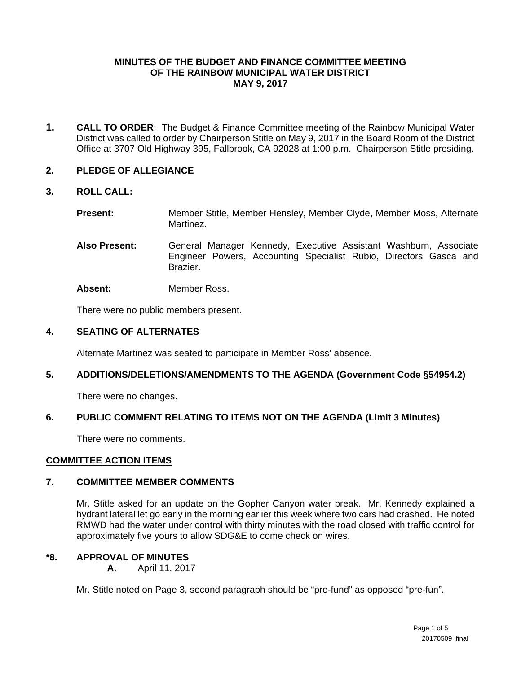# **MINUTES OF THE BUDGET AND FINANCE COMMITTEE MEETING OF THE RAINBOW MUNICIPAL WATER DISTRICT MAY 9, 2017**

**1. CALL TO ORDER**: The Budget & Finance Committee meeting of the Rainbow Municipal Water District was called to order by Chairperson Stitle on May 9, 2017 in the Board Room of the District Office at 3707 Old Highway 395, Fallbrook, CA 92028 at 1:00 p.m. Chairperson Stitle presiding.

# **2. PLEDGE OF ALLEGIANCE**

## **3. ROLL CALL:**

**Present:** Member Stitle, Member Hensley, Member Clyde, Member Moss, Alternate Martinez.

**Also Present:** General Manager Kennedy, Executive Assistant Washburn, Associate Engineer Powers, Accounting Specialist Rubio, Directors Gasca and Brazier.

**Absent:** Member Ross.

There were no public members present.

## **4. SEATING OF ALTERNATES**

Alternate Martinez was seated to participate in Member Ross' absence.

## **5. ADDITIONS/DELETIONS/AMENDMENTS TO THE AGENDA (Government Code §54954.2)**

There were no changes.

# **6. PUBLIC COMMENT RELATING TO ITEMS NOT ON THE AGENDA (Limit 3 Minutes)**

There were no comments.

## **COMMITTEE ACTION ITEMS**

## **7. COMMITTEE MEMBER COMMENTS**

Mr. Stitle asked for an update on the Gopher Canyon water break. Mr. Kennedy explained a hydrant lateral let go early in the morning earlier this week where two cars had crashed. He noted RMWD had the water under control with thirty minutes with the road closed with traffic control for approximately five yours to allow SDG&E to come check on wires.

# **\*8. APPROVAL OF MINUTES**

**A.** April 11, 2017

Mr. Stitle noted on Page 3, second paragraph should be "pre-fund" as opposed "pre-fun".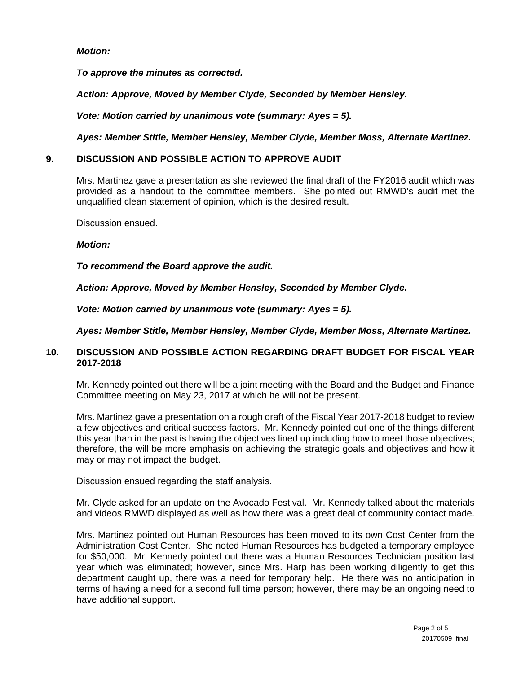# *Motion:*

*To approve the minutes as corrected.*

*Action: Approve, Moved by Member Clyde, Seconded by Member Hensley.*

*Vote: Motion carried by unanimous vote (summary: Ayes = 5).*

*Ayes: Member Stitle, Member Hensley, Member Clyde, Member Moss, Alternate Martinez.*

## **9. DISCUSSION AND POSSIBLE ACTION TO APPROVE AUDIT**

Mrs. Martinez gave a presentation as she reviewed the final draft of the FY2016 audit which was provided as a handout to the committee members. She pointed out RMWD's audit met the unqualified clean statement of opinion, which is the desired result.

Discussion ensued.

#### *Motion:*

*To recommend the Board approve the audit.*

*Action: Approve, Moved by Member Hensley, Seconded by Member Clyde.*

*Vote: Motion carried by unanimous vote (summary: Ayes = 5).*

*Ayes: Member Stitle, Member Hensley, Member Clyde, Member Moss, Alternate Martinez.*

## **10. DISCUSSION AND POSSIBLE ACTION REGARDING DRAFT BUDGET FOR FISCAL YEAR 2017-2018**

Mr. Kennedy pointed out there will be a joint meeting with the Board and the Budget and Finance Committee meeting on May 23, 2017 at which he will not be present.

Mrs. Martinez gave a presentation on a rough draft of the Fiscal Year 2017-2018 budget to review a few objectives and critical success factors. Mr. Kennedy pointed out one of the things different this year than in the past is having the objectives lined up including how to meet those objectives; therefore, the will be more emphasis on achieving the strategic goals and objectives and how it may or may not impact the budget.

Discussion ensued regarding the staff analysis.

Mr. Clyde asked for an update on the Avocado Festival. Mr. Kennedy talked about the materials and videos RMWD displayed as well as how there was a great deal of community contact made.

Mrs. Martinez pointed out Human Resources has been moved to its own Cost Center from the Administration Cost Center. She noted Human Resources has budgeted a temporary employee for \$50,000. Mr. Kennedy pointed out there was a Human Resources Technician position last year which was eliminated; however, since Mrs. Harp has been working diligently to get this department caught up, there was a need for temporary help. He there was no anticipation in terms of having a need for a second full time person; however, there may be an ongoing need to have additional support.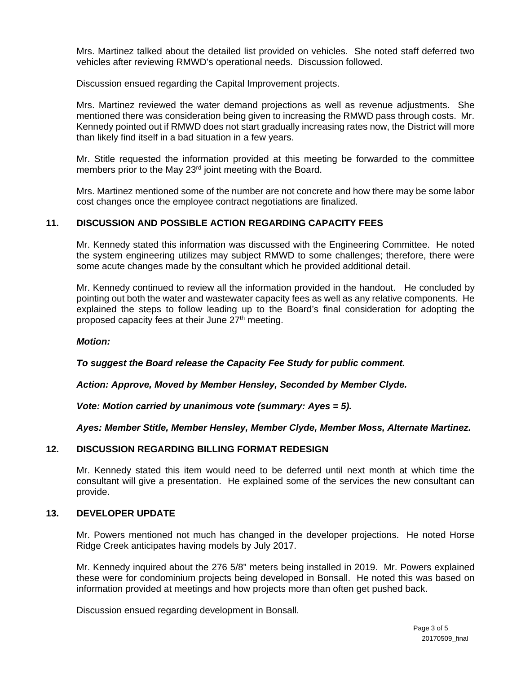Mrs. Martinez talked about the detailed list provided on vehicles. She noted staff deferred two vehicles after reviewing RMWD's operational needs. Discussion followed.

Discussion ensued regarding the Capital Improvement projects.

Mrs. Martinez reviewed the water demand projections as well as revenue adjustments. She mentioned there was consideration being given to increasing the RMWD pass through costs. Mr. Kennedy pointed out if RMWD does not start gradually increasing rates now, the District will more than likely find itself in a bad situation in a few years.

Mr. Stitle requested the information provided at this meeting be forwarded to the committee members prior to the May 23<sup>rd</sup> joint meeting with the Board.

Mrs. Martinez mentioned some of the number are not concrete and how there may be some labor cost changes once the employee contract negotiations are finalized.

# **11. DISCUSSION AND POSSIBLE ACTION REGARDING CAPACITY FEES**

Mr. Kennedy stated this information was discussed with the Engineering Committee. He noted the system engineering utilizes may subject RMWD to some challenges; therefore, there were some acute changes made by the consultant which he provided additional detail.

Mr. Kennedy continued to review all the information provided in the handout. He concluded by pointing out both the water and wastewater capacity fees as well as any relative components. He explained the steps to follow leading up to the Board's final consideration for adopting the proposed capacity fees at their June 27<sup>th</sup> meeting.

## *Motion:*

*To suggest the Board release the Capacity Fee Study for public comment.*

*Action: Approve, Moved by Member Hensley, Seconded by Member Clyde.*

*Vote: Motion carried by unanimous vote (summary: Ayes = 5).*

*Ayes: Member Stitle, Member Hensley, Member Clyde, Member Moss, Alternate Martinez.*

## **12. DISCUSSION REGARDING BILLING FORMAT REDESIGN**

Mr. Kennedy stated this item would need to be deferred until next month at which time the consultant will give a presentation. He explained some of the services the new consultant can provide.

## **13. DEVELOPER UPDATE**

Mr. Powers mentioned not much has changed in the developer projections. He noted Horse Ridge Creek anticipates having models by July 2017.

Mr. Kennedy inquired about the 276 5/8" meters being installed in 2019. Mr. Powers explained these were for condominium projects being developed in Bonsall. He noted this was based on information provided at meetings and how projects more than often get pushed back.

Discussion ensued regarding development in Bonsall.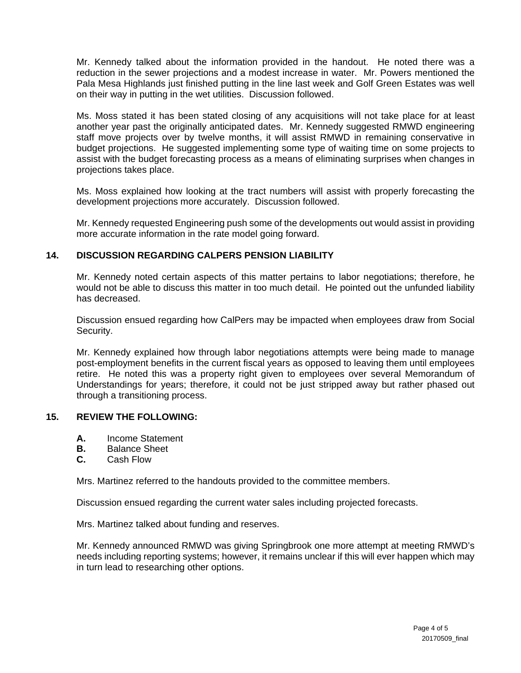Mr. Kennedy talked about the information provided in the handout. He noted there was a reduction in the sewer projections and a modest increase in water. Mr. Powers mentioned the Pala Mesa Highlands just finished putting in the line last week and Golf Green Estates was well on their way in putting in the wet utilities. Discussion followed.

Ms. Moss stated it has been stated closing of any acquisitions will not take place for at least another year past the originally anticipated dates. Mr. Kennedy suggested RMWD engineering staff move projects over by twelve months, it will assist RMWD in remaining conservative in budget projections. He suggested implementing some type of waiting time on some projects to assist with the budget forecasting process as a means of eliminating surprises when changes in projections takes place.

Ms. Moss explained how looking at the tract numbers will assist with properly forecasting the development projections more accurately. Discussion followed.

Mr. Kennedy requested Engineering push some of the developments out would assist in providing more accurate information in the rate model going forward.

# **14. DISCUSSION REGARDING CALPERS PENSION LIABILITY**

Mr. Kennedy noted certain aspects of this matter pertains to labor negotiations; therefore, he would not be able to discuss this matter in too much detail. He pointed out the unfunded liability has decreased.

Discussion ensued regarding how CalPers may be impacted when employees draw from Social Security.

Mr. Kennedy explained how through labor negotiations attempts were being made to manage post-employment benefits in the current fiscal years as opposed to leaving them until employees retire. He noted this was a property right given to employees over several Memorandum of Understandings for years; therefore, it could not be just stripped away but rather phased out through a transitioning process.

## **15. REVIEW THE FOLLOWING:**

- **A.** Income Statement
- **B.** Balance Sheet
- **C.** Cash Flow

Mrs. Martinez referred to the handouts provided to the committee members.

Discussion ensued regarding the current water sales including projected forecasts.

Mrs. Martinez talked about funding and reserves.

Mr. Kennedy announced RMWD was giving Springbrook one more attempt at meeting RMWD's needs including reporting systems; however, it remains unclear if this will ever happen which may in turn lead to researching other options.